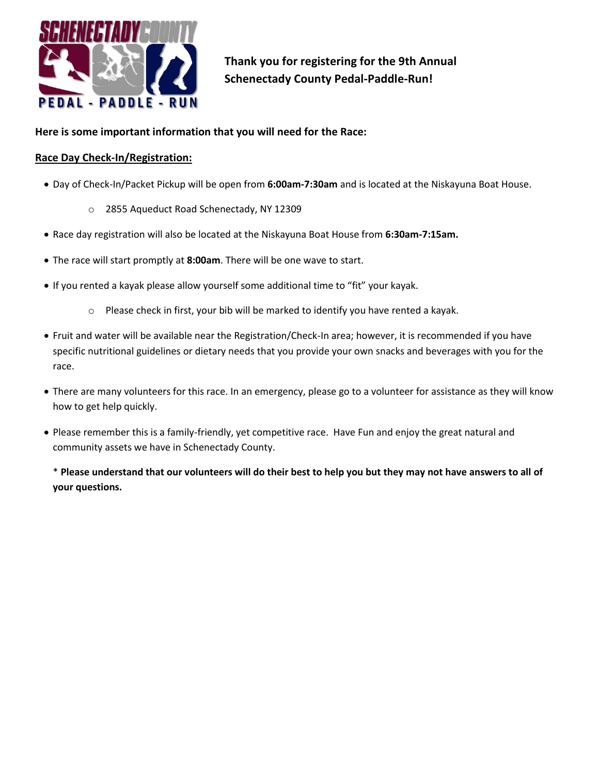

**Thank you for registering for the 9th Annual Schenectady County Pedal-Paddle-Run!**

## **Here is some important information that you will need for the Race:**

## **Race Day Check-In/Registration:**

- Day of Check-In/Packet Pickup will be open from **6:00am-7:30am** and is located at the Niskayuna Boat House.
	- o 2855 Aqueduct Road Schenectady, NY 12309
- Race day registration will also be located at the Niskayuna Boat House from **6:30am-7:15am.**
- The race will start promptly at **8:00am**. There will be one wave to start.
- If you rented a kayak please allow yourself some additional time to "fit" your kayak.
	- $\circ$  Please check in first, your bib will be marked to identify you have rented a kayak.
- Fruit and water will be available near the Registration/Check-In area; however, it is recommended if you have specific nutritional guidelines or dietary needs that you provide your own snacks and beverages with you for the race.
- There are many volunteers for this race. In an emergency, please go to a volunteer for assistance as they will know how to get help quickly.
- Please remember this is a family-friendly, yet competitive race. Have Fun and enjoy the great natural and community assets we have in Schenectady County.

\* **Please understand that our volunteers will do their best to help you but they may not have answers to all of your questions.**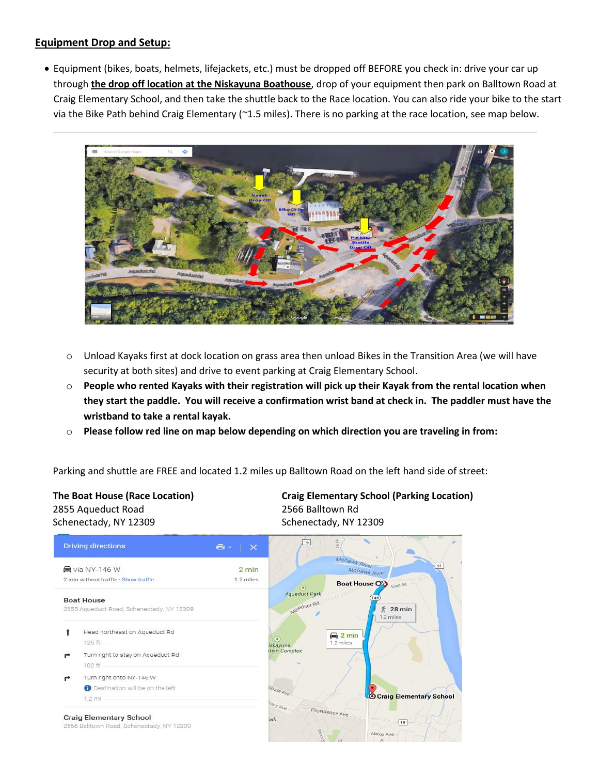### **Equipment Drop and Setup:**

• Equipment (bikes, boats, helmets, lifejackets, etc.) must be dropped off BEFORE you check in: drive your car up through **the drop off location at the Niskayuna Boathouse**, drop of your equipment then park on Balltown Road at Craig Elementary School, and then take the shuttle back to the Race location. You can also ride your bike to the start via the Bike Path behind Craig Elementary (~1.5 miles). There is no parking at the race location, see map below.



- $\circ$  Unload Kayaks first at dock location on grass area then unload Bikes in the Transition Area (we will have security at both sites) and drive to event parking at Craig Elementary School.
- o **People who rented Kayaks with their registration will pick up their Kayak from the rental location when they start the paddle. You will receive a confirmation wrist band at check in. The paddler must have the wristband to take a rental kayak.**
- o **Please follow red line on map below depending on which direction you are traveling in from:**

Parking and shuttle are FREE and located 1.2 miles up Balltown Road on the left hand side of street:

## 2855 Aqueduct Road 2566 Balltown Rd Schenectady, NY 12309 Schenectady, NY 12309

**The Boat House (Race Location) Craig Elementary School (Parking Location)**

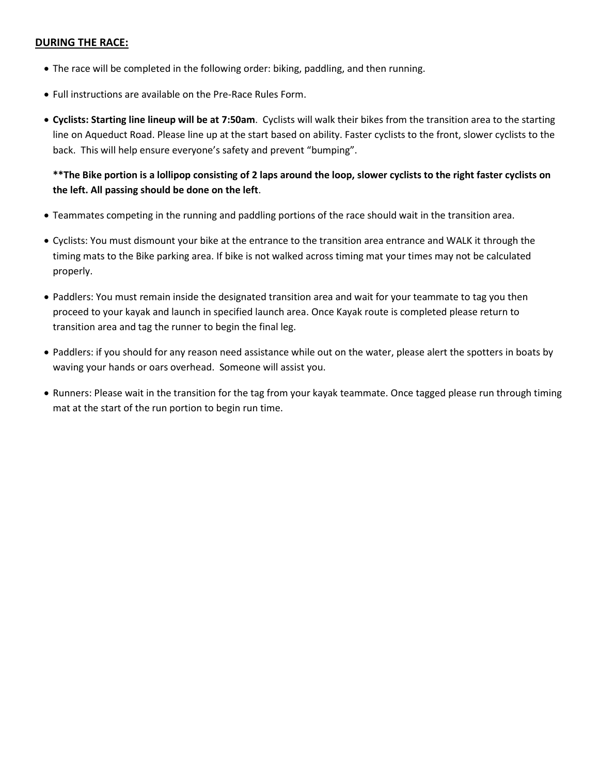## **DURING THE RACE:**

- The race will be completed in the following order: biking, paddling, and then running.
- Full instructions are available on the Pre-Race Rules Form.
- **Cyclists: Starting line lineup will be at 7:50am**. Cyclists will walk their bikes from the transition area to the starting line on Aqueduct Road. Please line up at the start based on ability. Faster cyclists to the front, slower cyclists to the back. This will help ensure everyone's safety and prevent "bumping".

## **\*\*The Bike portion is a lollipop consisting of 2 laps around the loop, slower cyclists to the right faster cyclists on the left. All passing should be done on the left**.

- Teammates competing in the running and paddling portions of the race should wait in the transition area.
- Cyclists: You must dismount your bike at the entrance to the transition area entrance and WALK it through the timing mats to the Bike parking area. If bike is not walked across timing mat your times may not be calculated properly.
- Paddlers: You must remain inside the designated transition area and wait for your teammate to tag you then proceed to your kayak and launch in specified launch area. Once Kayak route is completed please return to transition area and tag the runner to begin the final leg.
- Paddlers: if you should for any reason need assistance while out on the water, please alert the spotters in boats by waving your hands or oars overhead. Someone will assist you.
- Runners: Please wait in the transition for the tag from your kayak teammate. Once tagged please run through timing mat at the start of the run portion to begin run time.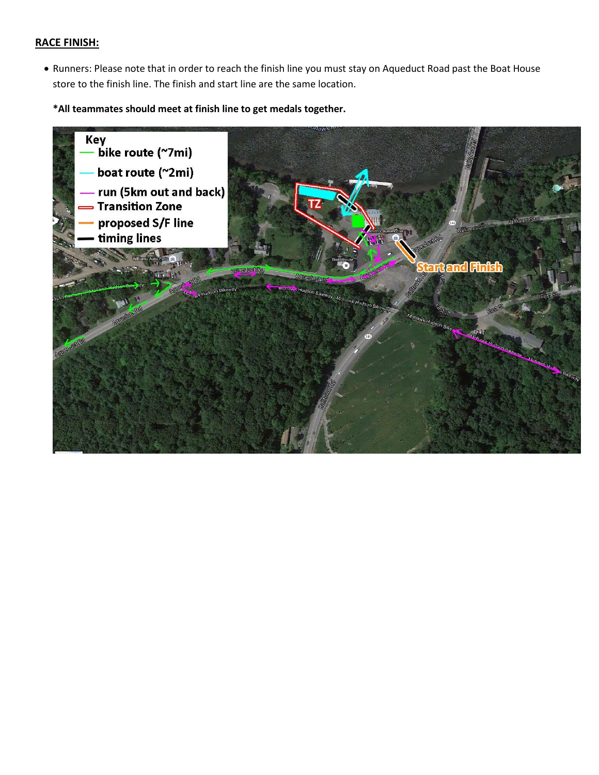#### **RACE FINISH:**

• Runners: Please note that in order to reach the finish line you must stay on Aqueduct Road past the Boat House store to the finish line. The finish and start line are the same location.

**\*All teammates should meet at finish line to get medals together.**

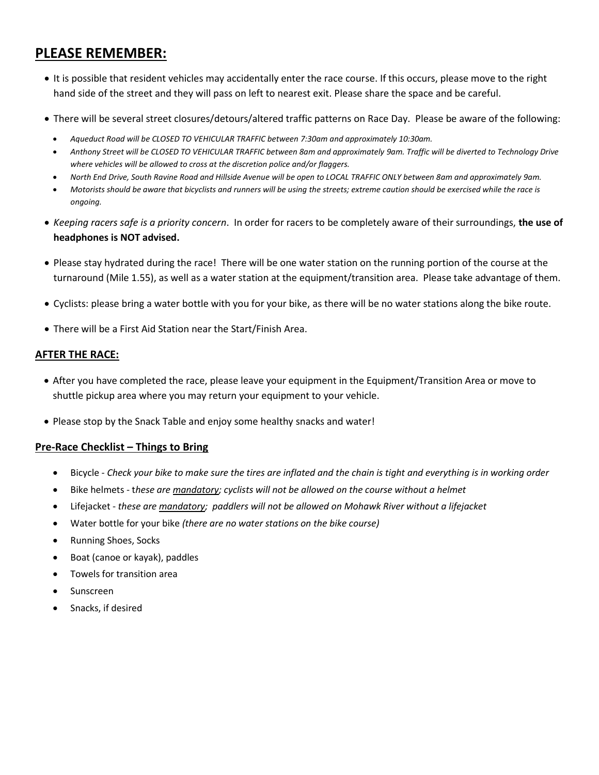## **PLEASE REMEMBER:**

- It is possible that resident vehicles may accidentally enter the race course. If this occurs, please move to the right hand side of the street and they will pass on left to nearest exit. Please share the space and be careful.
- There will be several street closures/detours/altered traffic patterns on Race Day. Please be aware of the following:
	- *Aqueduct Road will be CLOSED TO VEHICULAR TRAFFIC between 7:30am and approximately 10:30am.*
	- *Anthony Street will be CLOSED TO VEHICULAR TRAFFIC between 8am and approximately 9am. Traffic will be diverted to Technology Drive where vehicles will be allowed to cross at the discretion police and/or flaggers.*
	- *North End Drive, South Ravine Road and Hillside Avenue will be open to LOCAL TRAFFIC ONLY between 8am and approximately 9am.*
	- *Motorists should be aware that bicyclists and runners will be using the streets; extreme caution should be exercised while the race is ongoing.*
- *Keeping racers safe is a priority concern*. In order for racers to be completely aware of their surroundings, **the use of headphones is NOT advised.**
- Please stay hydrated during the race! There will be one water station on the running portion of the course at the turnaround (Mile 1.55), as well as a water station at the equipment/transition area. Please take advantage of them.
- Cyclists: please bring a water bottle with you for your bike, as there will be no water stations along the bike route.
- There will be a First Aid Station near the Start/Finish Area.

## **AFTER THE RACE:**

- After you have completed the race, please leave your equipment in the Equipment/Transition Area or move to shuttle pickup area where you may return your equipment to your vehicle.
- Please stop by the Snack Table and enjoy some healthy snacks and water!

## **Pre-Race Checklist – Things to Bring**

- Bicycle *Check your bike to make sure the tires are inflated and the chain is tight and everything is in working order*
- Bike helmets t*hese are mandatory; cyclists will not be allowed on the course without a helmet*
- Lifejacket *these are mandatory; paddlers will not be allowed on Mohawk River without a lifejacket*
- Water bottle for your bike *(there are no water stations on the bike course)*
- Running Shoes, Socks
- Boat (canoe or kayak), paddles
- Towels for transition area
- Sunscreen
- Snacks, if desired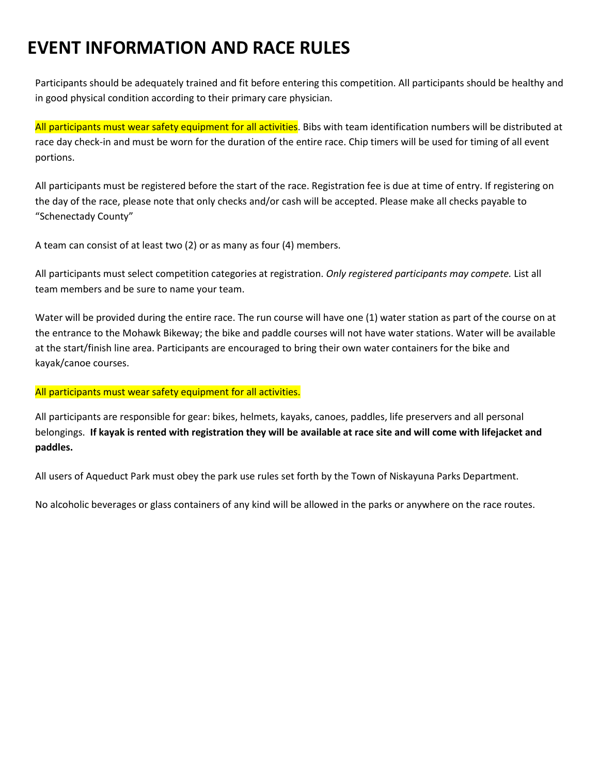## **EVENT INFORMATION AND RACE RULES**

Participants should be adequately trained and fit before entering this competition. All participants should be healthy and in good physical condition according to their primary care physician.

All participants must wear safety equipment for all activities. Bibs with team identification numbers will be distributed at race day check-in and must be worn for the duration of the entire race. Chip timers will be used for timing of all event portions.

All participants must be registered before the start of the race. Registration fee is due at time of entry. If registering on the day of the race, please note that only checks and/or cash will be accepted. Please make all checks payable to "Schenectady County"

A team can consist of at least two (2) or as many as four (4) members.

All participants must select competition categories at registration. *Only registered participants may compete.* List all team members and be sure to name your team.

Water will be provided during the entire race. The run course will have one (1) water station as part of the course on at the entrance to the Mohawk Bikeway; the bike and paddle courses will not have water stations. Water will be available at the start/finish line area. Participants are encouraged to bring their own water containers for the bike and kayak/canoe courses.

#### All participants must wear safety equipment for all activities.

All participants are responsible for gear: bikes, helmets, kayaks, canoes, paddles, life preservers and all personal belongings. **If kayak is rented with registration they will be available at race site and will come with lifejacket and paddles.**

All users of Aqueduct Park must obey the park use rules set forth by the Town of Niskayuna Parks Department.

No alcoholic beverages or glass containers of any kind will be allowed in the parks or anywhere on the race routes.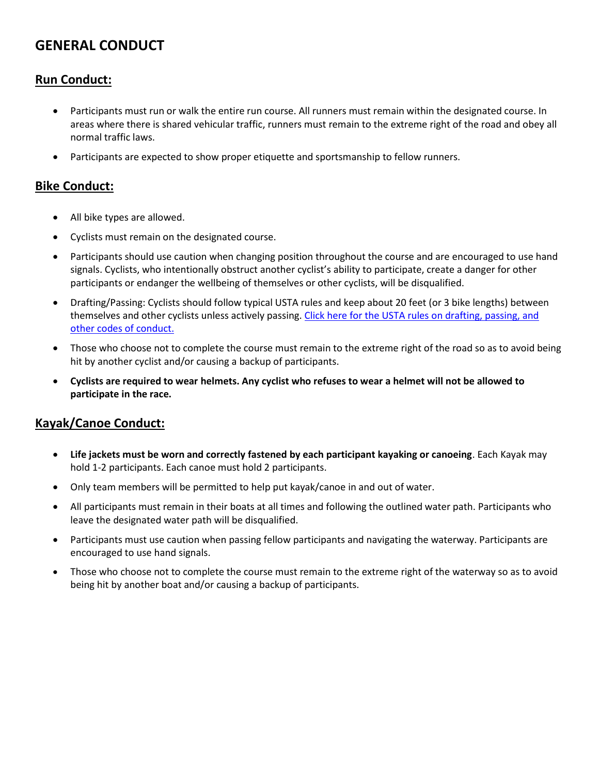## **GENERAL CONDUCT**

## **Run Conduct:**

- Participants must run or walk the entire run course. All runners must remain within the designated course. In areas where there is shared vehicular traffic, runners must remain to the extreme right of the road and obey all normal traffic laws.
- Participants are expected to show proper etiquette and sportsmanship to fellow runners.

## **Bike Conduct:**

- All bike types are allowed.
- Cyclists must remain on the designated course.
- Participants should use caution when changing position throughout the course and are encouraged to use hand signals. Cyclists, who intentionally obstruct another cyclist's ability to participate, create a danger for other participants or endanger the wellbeing of themselves or other cyclists, will be disqualified.
- Drafting/Passing: Cyclists should follow typical USTA rules and keep about 20 feet (or 3 bike lengths) between themselves and other cyclists unless actively passing. Click here for the USTA rules on drafting, passing, and [other codes of conduct.](http://www.3-fitness.com/tarticles/drafting.htm)
- Those who choose not to complete the course must remain to the extreme right of the road so as to avoid being hit by another cyclist and/or causing a backup of participants.
- **Cyclists are required to wear helmets. Any cyclist who refuses to wear a helmet will not be allowed to participate in the race.**

## **Kayak/Canoe Conduct:**

- **Life jackets must be worn and correctly fastened by each participant kayaking or canoeing**. Each Kayak may hold 1-2 participants. Each canoe must hold 2 participants.
- Only team members will be permitted to help put kayak/canoe in and out of water.
- All participants must remain in their boats at all times and following the outlined water path. Participants who leave the designated water path will be disqualified.
- Participants must use caution when passing fellow participants and navigating the waterway. Participants are encouraged to use hand signals.
- Those who choose not to complete the course must remain to the extreme right of the waterway so as to avoid being hit by another boat and/or causing a backup of participants.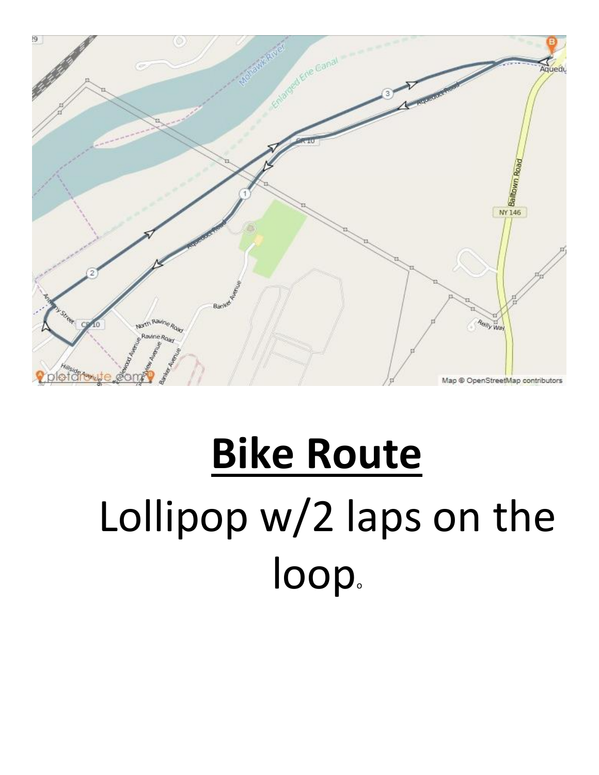

# **Bike Route** Lollipop w/2 laps on the loop.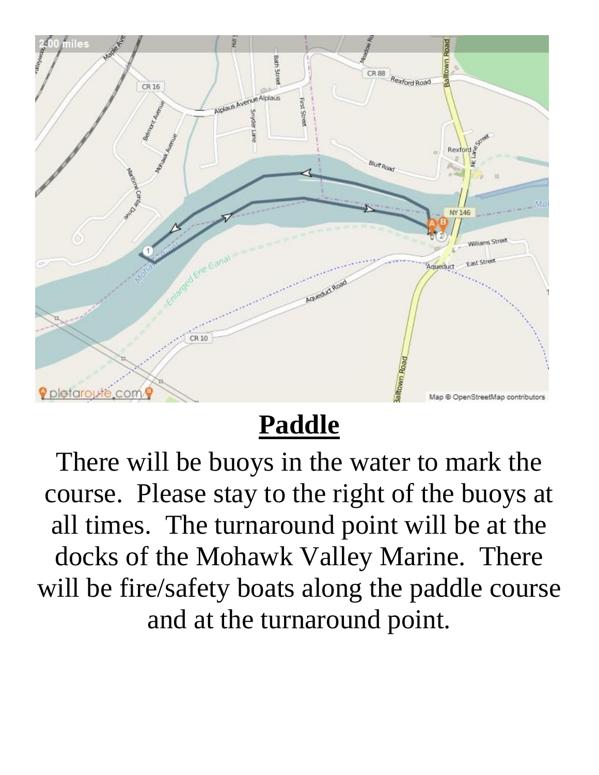

## **Paddle**

There will be buoys in the water to mark the course. Please stay to the right of the buoys at all times. The turnaround point will be at the docks of the Mohawk Valley Marine. There will be fire/safety boats along the paddle course and at the turnaround point.